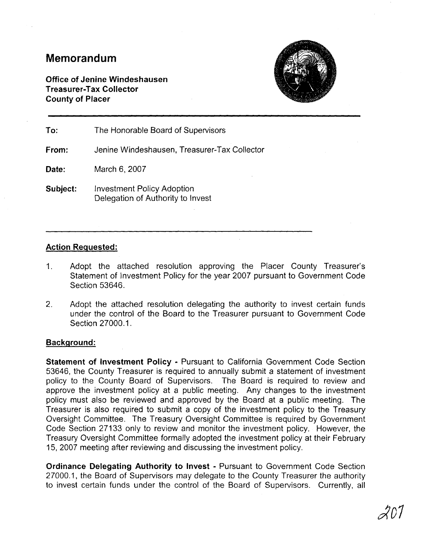# **Memorandum**

**Office of Jenine Windeshausen Treasurer-Tax Collector County of Placer** 



**To:** The Honorable Board of Supervisors

**From:** Jenine Windeshausen, Treasurer-Tax Collector

**Date:** March 6, 2007

**Subject:** lnvestment Policy Adoption Delegation of Authority to Invest

#### **Action Requested:**

- 1. Adopt the attached resolution approving the Placer County Treasurer's Statement of lnvestment Policy for the year 2007 pursuant to Government Code Section 53646.
- 2. Adopt the attached resolution delegating the authority to invest certain funds under the control of the Board to the Treasurer pursuant to Government Code Section 27000.1 .

### **Background:**

**Statement of lnvestment Policy** - Pursuant to California Government Code Section 53646, the County Treasurer is required to annually submit a statement of investment policy to the County Board of Supervisors. The Board is required to review and approve the investment policy at a public meeting. Any changes to the investment policy must also be reviewed and approved by the Board at a public meeting. The Treasurer is also required to submit a copy of the investment policy to the Treasury Oversight Committee. The Treasury Oversight Committee is required by Government Code Section 27133 only to review and monitor the investment policy. However, the Treasury Oversight Committee formally adopted the investment policy at their February 15, 2007 meeting after reviewing and discussing the investment policy.

**Ordinance Delegating Authority to Invest** - Pursuant to Government Code Section 27000.1, the Board of Supervisors may delegate to the County Treasurer the authority to invest certain funds under the control of the Board of Supervisors. Currently, all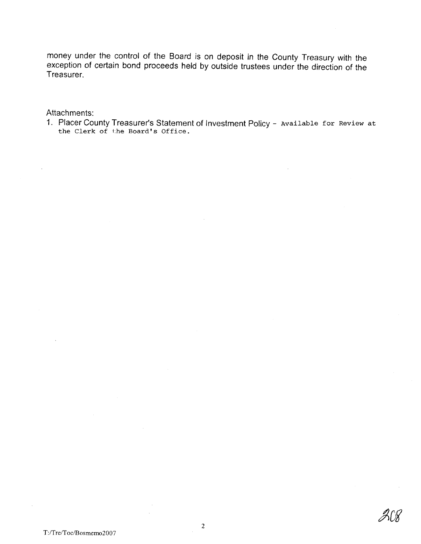money under the control of the Board is on deposit in the County Treasury with the exception of certain bond proceeds held by outside trustees under the direction of the Treasurer.

Attachments:

 $\alpha$ 

1. Placer County Treasurer's Statement of Investment Policy - Available for Review at the Clerk of the Board's Office.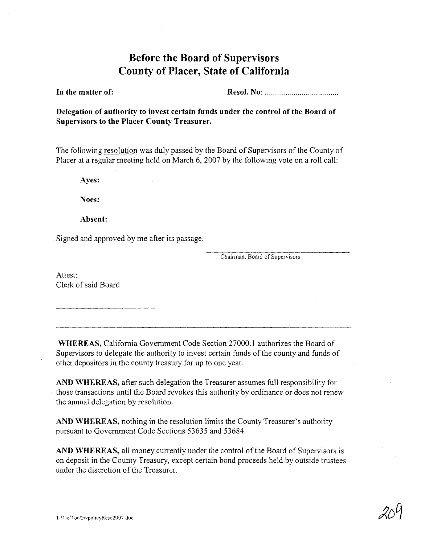## **Before the Board of Supervisors County of Placer, State of California**

**In the matter of: Resol. No:** ..................................

**Delegation of authority to invest certain funds under the control of the Board of Supervisors to the Placer County Treasurer.** 

The following resolution was duly passed by the Board of Supervisors of the County of Placer at a regular meeting held on March 6, 2007 by the following vote on a roll call:

**Ayes:** 

**Noes:** 

**Absent:** 

Signed and approved by me after its passage.

Chairman, Board of Supervisors

Attest: Clerk of said Board

**WHEREAS,** California Government Code Section 27000.1 authorizes the Board of Supervisors to delegate the authority to invest certain funds of the county and funds of other depositors in the county treasury for up to one year.

**AND WHEREAS,** after such delegation the Treasurer assumes full responsibility for those transactions until the Board revokes this authority by ordinance or does not renew the annual delegation by resolution.

**AND WHEREAS,** nothing in the resolution limits the County Treasurer's authority pursuant to Government Code Sections 53635 and 53684.

**AND WHEREAS,** all money currently under the control of the Board of Supervisors is on deposit in the County Treasury, except certain bond proceeds held by outside trustees under the discretion of the Treasurer.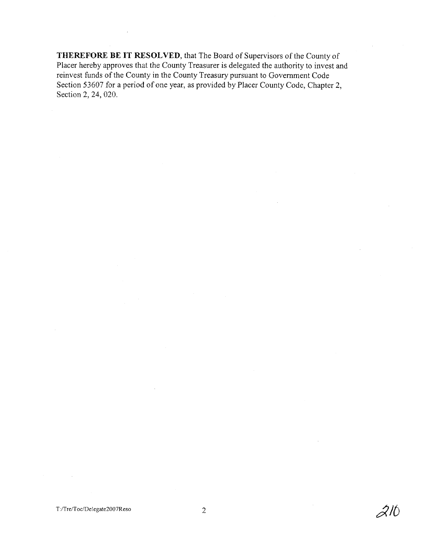**THEREFORE BE IT RESOLVED,** that The Board of Supervisors of the County of Placer hereby approves that the County Treasurer is delegated the authority to invest and reinvest funds of the County in the County Treasury pursuant to Government Code Section 53607 for a period of one year, as provided by Placer County Code, Chapter 2, Section 2, **24, 020.**